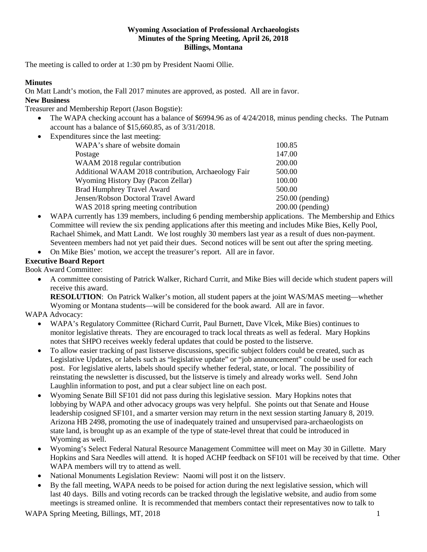### **Wyoming Association of Professional Archaeologists Minutes of the Spring Meeting, April 26, 2018 Billings, Montana**

The meeting is called to order at 1:30 pm by President Naomi Ollie.

### **Minutes**

On Matt Landt's motion, the Fall 2017 minutes are approved, as posted. All are in favor.

# **New Business**

Treasurer and Membership Report (Jason Bogstie):

- The WAPA checking account has a balance of \$6994.96 as of 4/24/2018, minus pending checks. The Putnam account has a balance of \$15,660.85, as of 3/31/2018.
- Expenditures since the last meeting:

| WAPA's share of website domain                      | 100.85             |
|-----------------------------------------------------|--------------------|
| Postage                                             | 147.00             |
| WAAM 2018 regular contribution                      | 200.00             |
| Additional WAAM 2018 contribution, Archaeology Fair | 500.00             |
| Wyoming History Day (Pacon Zellar)                  | 100.00             |
| <b>Brad Humphrey Travel Award</b>                   | 500.00             |
| Jensen/Robson Doctoral Travel Award                 | $250.00$ (pending) |
| WAS 2018 spring meeting contribution                | $200.00$ (pending) |
|                                                     |                    |

• WAPA currently has 139 members, including 6 pending membership applications. The Membership and Ethics Committee will review the six pending applications after this meeting and includes Mike Bies, Kelly Pool, Rachael Shimek, and Matt Landt. We lost roughly 30 members last year as a result of dues non-payment. Seventeen members had not yet paid their dues. Second notices will be sent out after the spring meeting.

• On Mike Bies' motion, we accept the treasurer's report. All are in favor.

# **Executive Board Report**

Book Award Committee:

• A committee consisting of Patrick Walker, Richard Currit, and Mike Bies will decide which student papers will receive this award.

**RESOLUTION**: On Patrick Walker's motion, all student papers at the joint WAS/MAS meeting—whether Wyoming or Montana students—will be considered for the book award. All are in favor.

# WAPA Advocacy:

- WAPA's Regulatory Committee (Richard Currit, Paul Burnett, Dave Vlcek, Mike Bies) continues to monitor legislative threats. They are encouraged to track local threats as well as federal. Mary Hopkins notes that SHPO receives weekly federal updates that could be posted to the listserve.
- To allow easier tracking of past listserve discussions, specific subject folders could be created, such as Legislative Updates, or labels such as "legislative update" or "job announcement" could be used for each post. For legislative alerts, labels should specify whether federal, state, or local. The possibility of reinstating the newsletter is discussed, but the listserve is timely and already works well. Send John Laughlin information to post, and put a clear subject line on each post.
- Wyoming Senate Bill SF101 did not pass during this legislative session.Mary Hopkins notes that lobbying by WAPA and other advocacy groups was very helpful. She points out that Senate and House leadership cosigned SF101, and a smarter version may return in the next session starting January 8, 2019. Arizona HB 2498, promoting the use of inadequately trained and unsupervised para-archaeologists on state land, is brought up as an example of the type of state-level threat that could be introduced in Wyoming as well.
- Wyoming's Select Federal Natural Resource Management Committee will meet on May 30 in Gillette. Mary Hopkins and Sara Needles will attend. It is hoped ACHP feedback on SF101 will be received by that time. Other WAPA members will try to attend as well*.*
- National Monuments Legislation Review: Naomi will post it on the listserv.
- By the fall meeting, WAPA needs to be poised for action during the next legislative session, which will last 40 days. Bills and voting records can be tracked through the legislative website, and audio from some meetings is streamed online. It is recommended that members contact their representatives now to talk to

WAPA Spring Meeting, Billings, MT, 2018 1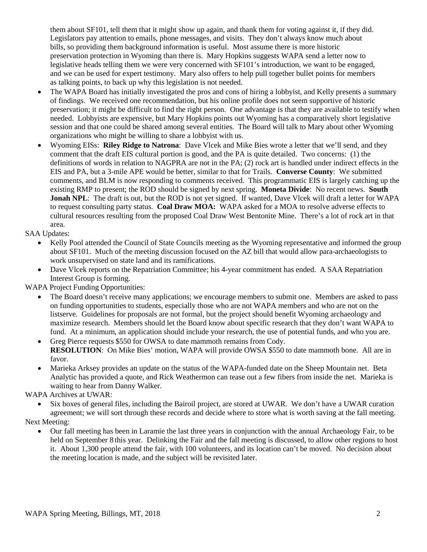them about SF101, tell them that it might show up again, and thank them for voting against it, if they did. Legislators pay attention to emails, phone messages, and visits. They don't always know much about bills, so providing them background information is useful. Most assume there is more historic preservation protection in Wyoming than there is. Mary Hopkins suggests WAPA send a letter now to legislative heads telling them we were very concerned with SF101's introduction, we want to be engaged, and we can be used for expert testimony. Mary also offers to help pull together bullet points for members as talking points, to back up why this legislation is not needed.

- The WAPA Board has initially investigated the pros and cons of hiring a lobbyist, and Kelly presents a summary of findings. We received one recommendation, but his online profile does not seem supportive of historic preservation; it might be difficult to find the right person. One advantage is that they are available to testify when needed. Lobbyists are expensive, but Mary Hopkins points out Wyoming has a comparatively short legislative session and that one could be shared among several entities. The Board will talk to Mary about other Wyoming organizations who might be willing to share a lobbyist with us.
- Wyoming EISs: **Riley Ridge to Natrona**: Dave Vlcek and Mike Bies wrote a letter that we'll send, and they comment that the draft EIS cultural portion is good, and the PA is quite detailed. Two concerns: (1) the definitions of words in relation to NAGPRA are not in the PA; (2) rock art is handled under indirect effects in the EIS and PA, but a 3-mile APE would be better, similar to that for Trails. **Converse County**: We submitted comments, and BLM is now responding to comments received. This programmatic EIS is largely catching up the existing RMP to present; the ROD should be signed by next spring. **Moneta Divide**: No recent news. **South Jonah NPL**: The draft is out, but the ROD is not yet signed. If wanted, Dave Vlcek will draft a letter for WAPA to request consulting party status. **Coal Draw MOA:** WAPA asked for a MOA to resolve adverse effects to cultural resources resulting from the proposed Coal Draw West Bentonite Mine. There's a lot of rock art in that area.

SAA Updates:

- Kelly Pool attended the Council of State Councils meeting as the Wyoming representative and informed the group about SF101. Much of the meeting discussion focused on the AZ bill that would allow para-archaeologists to work unsupervised on state land and its ramifications.
- Dave Vlcek reports on the Repatriation Committee; his 4-year commitment has ended. A SAA Repatriation Interest Group is forming.

WAPA Project Funding Opportunities:

- The Board doesn't receive many applications; we encourage members to submit one. Members are asked to pass on funding opportunities to students, especially those who are not WAPA members and who are not on the listserve. Guidelines for proposals are not formal, but the project should benefit Wyoming archaeology and maximize research. Members should let the Board know about specific research that they don't want WAPA to fund. At a minimum, an application should include your research, the use of potential funds, and who you are.
- Greg Pierce requests \$550 for OWSA to date mammoth remains from Cody. **RESOLUTION**: On Mike Bies' motion, WAPA will provide OWSA \$550 to date mammoth bone. All are in favor.
- Marieka Arksey provides an update on the status of the WAPA-funded date on the Sheep Mountain net. Beta Analytic has provided a quote, and Rick Weathermon can tease out a few fibers from inside the net. Marieka is waiting to hear from Danny Walker.

WAPA Archives at UWAR:

• Six boxes of general files, including the Bairoil project, are stored at UWAR. We don't have a UWAR curation agreement; we will sort through these records and decide where to store what is worth saving at the fall meeting.

Next Meeting:

• Our fall meeting has been in Laramie the last three years in conjunction with the annual Archaeology Fair, to be held on September 8 this year. Delinking the Fair and the fall meeting is discussed, to allow other regions to host it. About 1,300 people attend the fair, with 100 volunteers, and its location can't be moved. No decision about the meeting location is made, and the subject will be revisited later.